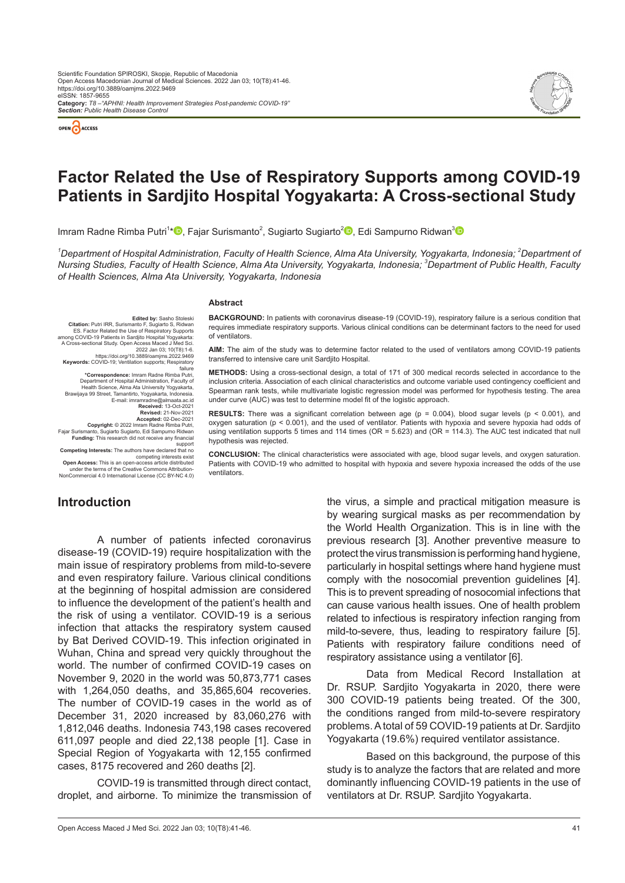



# **Factor Related the Use of Respiratory Supports among COVID-19 Patients in Sardjito Hospital Yogyakarta: A Cross-sectional Study**

Imram Radne Rimba Putri<sup>1</sup>[\\*](http://orcid.org/0000-0001-8010-5547)❶[,](http://orcid.org/0000-0002-7867-4211) Fajar Surismanto<sup>2</sup>, Sugiarto Sugiarto<sup>2</sup>❶, Edi Sampurno Ridwan<sup>[3](http://orcid.org/0000-0003-3711-0601)</sup>

<sup>1</sup>Department of Hospital Administration, Faculty of Health Science, Alma Ata University, Yogyakarta, Indonesia; <sup>2</sup>Department of *Nursing Studies, Faculty of Health Science, Alma Ata University, Yogyakarta, Indonesia; 3 Department of Public Health, Faculty of Health Sciences, Alma Ata University, Yogyakarta, Indonesia*

#### **Abstract**

**Edited by:** Sasho Stoleski **Citation:** Putri IRR, Surismanto F, Sugiarto S, Ridwan ES. Factor Related the Use of Respiratory Supports among COVID-19 Patients in Sardjito Hospital Yogyakarta: A Cross-sectional Study. Open Access Maced J Med Sci. 2022 Jan 03; 10(T8):1-6 https://doi.org/10.3889/oamjms.2022.9469 **Keywords:** COVID-19; Ventilation supports; Respiratory failure **\*Correspondence:** Imram Radne Rimba Putri, Department of Hospital Administration, Faculty of Health Science, Alma Ata University Yogyakarta,<br>Brawijaya 99 Street, Tamantirto, Yogyakarta, Indonesia.<br>E-mail: imramradne@almaata.ac.id<br>**Received:** 13-Oct-2021 **Revised:** 21-Nov-2021 **Accepted:** 02-Dec-2021 **Copyright:** © 2022 Imram Radne Rimba Putri, Fajar Surismanto, Sugiarto Sugiarto, Edi Sampurno Ridwan **Funding:** This research did not receive any financial

support **Competing Interests:** The authors have declared that no competing interests exist **Open Access:** This is an open-access article distributed under the terms of the Creative Commons Attribution-NonCommercial 4.0 International License (CC BY-NC 4.0)

**BACKGROUND:** In patients with coronavirus disease-19 (COVID-19), respiratory failure is a serious condition that requires immediate respiratory supports. Various clinical conditions can be determinant factors to the need for used of ventilators.

**AIM:** The aim of the study was to determine factor related to the used of ventilators among COVID-19 patients transferred to intensive care unit Sardjito Hospital.

**METHODS:** Using a cross-sectional design, a total of 171 of 300 medical records selected in accordance to the inclusion criteria. Association of each clinical characteristics and outcome variable used contingency coefficient and Spearman rank tests, while multivariate logistic regression model was performed for hypothesis testing. The area under curve (AUC) was test to determine model fit of the logistic approach.

**RESULTS:** There was a significant correlation between age (p = 0.004), blood sugar levels (p < 0.001), and oxygen saturation (p < 0.001), and the used of ventilator. Patients with hypoxia and severe hypoxia had odds of using ventilation supports 5 times and 114 times (OR = 5.623) and (OR = 114.3). The AUC test indicated that null hypothesis was rejected.

**CONCLUSION:** The clinical characteristics were associated with age, blood sugar levels, and oxygen saturation. Patients with COVID-19 who admitted to hospital with hypoxia and severe hypoxia increased the odds of the use ventilators.

## **Introduction**

A number of patients infected coronavirus disease-19 (COVID-19) require hospitalization with the main issue of respiratory problems from mild-to-severe and even respiratory failure. Various clinical conditions at the beginning of hospital admission are considered to influence the development of the patient's health and the risk of using a ventilator. COVID-19 is a serious infection that attacks the respiratory system caused by Bat Derived COVID-19. This infection originated in Wuhan, China and spread very quickly throughout the world. The number of confirmed COVID-19 cases on November 9, 2020 in the world was 50,873,771 cases with 1,264,050 deaths, and 35,865,604 recoveries. The number of COVID-19 cases in the world as of December 31, 2020 increased by 83,060,276 with 1,812,046 deaths. Indonesia 743,198 cases recovered 611,097 people and died 22,138 people [1]. Case in Special Region of Yogyakarta with 12,155 confirmed cases, 8175 recovered and 260 deaths [2].

COVID-19 is transmitted through direct contact, droplet, and airborne. To minimize the transmission of the virus, a simple and practical mitigation measure is by wearing surgical masks as per recommendation by the World Health Organization. This is in line with the previous research [3]. Another preventive measure to protect the virus transmission is performing hand hygiene, particularly in hospital settings where hand hygiene must comply with the nosocomial prevention guidelines [4]. This is to prevent spreading of nosocomial infections that can cause various health issues. One of health problem related to infectious is respiratory infection ranging from mild-to-severe, thus, leading to respiratory failure [5]. Patients with respiratory failure conditions need of respiratory assistance using a ventilator [6].

Data from Medical Record Installation at Dr. RSUP. Sardjito Yogyakarta in 2020, there were 300 COVID-19 patients being treated. Of the 300, the conditions ranged from mild-to-severe respiratory problems. Atotal of 59 COVID-19 patients at Dr. Sardjito Yogyakarta (19.6%) required ventilator assistance.

Based on this background, the purpose of this study is to analyze the factors that are related and more dominantly influencing COVID-19 patients in the use of ventilators at Dr. RSUP. Sardjito Yogyakarta.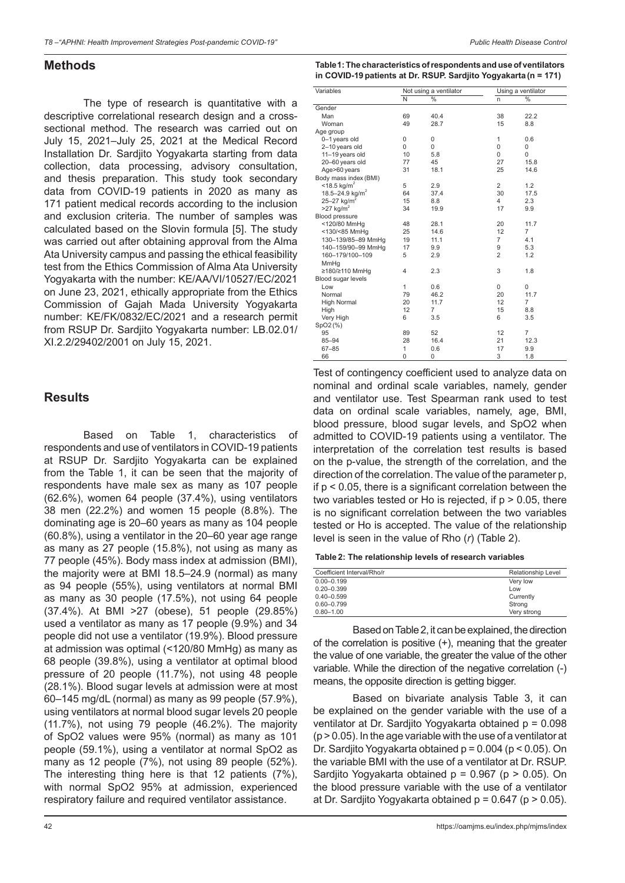## **Methods**

The type of research is quantitative with a descriptive correlational research design and a crosssectional method. The research was carried out on July 15, 2021–July 25, 2021 at the Medical Record Installation Dr. Sardjito Yogyakarta starting from data collection, data processing, advisory consultation, and thesis preparation. This study took secondary data from COVID-19 patients in 2020 as many as 171 patient medical records according to the inclusion and exclusion criteria. The number of samples was calculated based on the Slovin formula [5]. The study was carried out after obtaining approval from the Alma Ata University campus and passing the ethical feasibility test from the Ethics Commission of Alma Ata University Yogyakarta with the number: KE/AA/VI/10527/EC/2021 on June 23, 2021, ethically appropriate from the Ethics Commission of Gajah Mada University Yogyakarta number: KE/FK/0832/EC/2021 and a research permit from RSUP Dr. Sardjito Yogyakarta number: LB.02.01/ XI.2.2/29402/2001 on July 15, 2021.

## **Results**

Based on Table 1, characteristics of respondents and use of ventilators in COVID-19 patients at RSUP Dr. Sardjito Yogyakarta can be explained from the Table 1, it can be seen that the majority of respondents have male sex as many as 107 people (62.6%), women 64 people (37.4%), using ventilators 38 men (22.2%) and women 15 people (8.8%). The dominating age is 20–60 years as many as 104 people (60.8%), using a ventilator in the 20–60 year age range as many as 27 people (15.8%), not using as many as 77 people (45%). Body mass index at admission (BMI), the majority were at BMI 18.5–24.9 (normal) as many as 94 people (55%), using ventilators at normal BMI as many as 30 people (17.5%), not using 64 people (37.4%). At BMI >27 (obese), 51 people (29.85%) used a ventilator as many as 17 people (9.9%) and 34 people did not use a ventilator (19.9%). Blood pressure at admission was optimal (<120/80 MmHg) as many as 68 people (39.8%), using a ventilator at optimal blood pressure of 20 people (11.7%), not using 48 people (28.1%). Blood sugar levels at admission were at most 60–145 mg/dL (normal) as many as 99 people (57.9%), using ventilators at normal blood sugar levels 20 people (11.7%), not using 79 people (46.2%). The majority of SpO2 values were 95% (normal) as many as 101 people (59.1%), using a ventilator at normal SpO2 as many as 12 people (7%), not using 89 people (52%). The interesting thing here is that 12 patients (7%), with normal SpO2 95% at admission, experienced respiratory failure and required ventilator assistance.

**Table1: The characteristics of respondents and use of ventilators in COVID-19 patients at Dr. RSUP. Sardjito Yogyakarta (n = 171)**

| Variables                   | Not using a ventilator |                | Using a ventilator |                |
|-----------------------------|------------------------|----------------|--------------------|----------------|
|                             | N                      | $\frac{0}{0}$  | n                  | $\%$           |
| Gender                      |                        |                |                    |                |
| Man                         | 69                     | 40.4           | 38                 | 22.2           |
| Woman                       | 49                     | 28.7           | 15                 | 8.8            |
| Age group                   |                        |                |                    |                |
| 0-1 years old               | 0                      | 0              | 1                  | 0.6            |
| 2-10 years old              | 0                      | 0              | 0                  | 0              |
| 11-19 years old             | 10                     | 5.8            | 0                  | $\Omega$       |
| 20-60 years old             | 77                     | 45             | 27                 | 15.8           |
| Age>60 years                | 31                     | 18.1           | 25                 | 14.6           |
| Body mass index (BMI)       |                        |                |                    |                |
| $<$ 18.5 kg/m <sup>2</sup>  | 5                      | 2.9            | $\overline{c}$     | 1.2            |
| 18.5-24.9 kg/m <sup>2</sup> | 64                     | 37.4           | 30                 | 17.5           |
| 25-27 kg/m <sup>2</sup>     | 15                     | 8.8            | 4                  | 2.3            |
| $>27$ kg/m <sup>2</sup>     | 34                     | 19.9           | 17                 | 9.9            |
| Blood pressure              |                        |                |                    |                |
| <120/80 MmHg                | 48                     | 28.1           | 20                 | 11.7           |
| <130/<85 MmHg               | 25                     | 14.6           | 12                 | $\overline{7}$ |
| 130-139/85-89 MmHg          | 19                     | 11.1           | $\overline{7}$     | 4.1            |
| 140-159/90-99 MmHg          | 17                     | 9.9            | 9                  | 5.3            |
| 160-179/100-109             | 5                      | 2.9            | $\overline{2}$     | 1.2            |
| MmHg                        |                        |                |                    |                |
| ≥180/≥110 MmHg              | 4                      | 2.3            | 3                  | 1.8            |
| Blood sugar levels          |                        |                |                    |                |
| Low                         | 1                      | 0.6            | 0                  | 0              |
| Normal                      | 79                     | 46.2           | 20                 | 11.7           |
| <b>High Normal</b>          | 20                     | 11.7           | 12                 | $\overline{7}$ |
| High                        | 12                     | $\overline{7}$ | 15                 | 8.8            |
| Very High                   | 6                      | 3.5            | 6                  | 3.5            |
| SpO2(%)                     |                        |                |                    |                |
| 95                          | 89                     | 52             | 12                 | $\overline{7}$ |
| $85 - 94$                   | 28                     | 16.4           | 21                 | 12.3           |
| $67 - 85$                   | 1                      | 0.6            | 17                 | 9.9            |
| 66                          | 0                      | 0              | 3                  | 1.8            |

Test of contingency coefficient used to analyze data on nominal and ordinal scale variables, namely, gender and ventilator use. Test Spearman rank used to test data on ordinal scale variables, namely, age, BMI, blood pressure, blood sugar levels, and SpO2 when admitted to COVID-19 patients using a ventilator. The interpretation of the correlation test results is based on the p-value, the strength of the correlation, and the direction of the correlation. The value of the parameter p, if p < 0.05, there is a significant correlation between the two variables tested or Ho is rejected, if p > 0.05, there is no significant correlation between the two variables tested or Ho is accepted. The value of the relationship level is seen in the value of Rho (*r*) (Table 2).

| Coefficient Interval/Rho/r | Relationship Level |
|----------------------------|--------------------|
| $0.00 - 0.199$             | Very low           |
| $0.20 - 0.399$             | Low                |
| $0.40 - 0.599$             | Currently          |
| $0.60 - 0.799$             | Strong             |
| $0.80 - 1.00$              | Verv strong        |

Based on Table2, it can be explained, the direction of the correlation is positive (+), meaning that the greater the value of one variable, the greater the value of the other variable. While the direction of the negative correlation (-) means, the opposite direction is getting bigger.

Based on bivariate analysis Table 3, it can be explained on the gender variable with the use of a ventilator at Dr. Sardjito Yogyakarta obtained p = 0.098 (p > 0.05). In the age variable with the use of a ventilator at Dr. Sardjito Yogyakarta obtained p = 0.004 (p < 0.05). On the variable BMI with the use of a ventilator at Dr. RSUP. Sardjito Yogyakarta obtained  $p = 0.967$  ( $p > 0.05$ ). On the blood pressure variable with the use of a ventilator at Dr. Sardjito Yogyakarta obtained  $p = 0.647$  ( $p > 0.05$ ).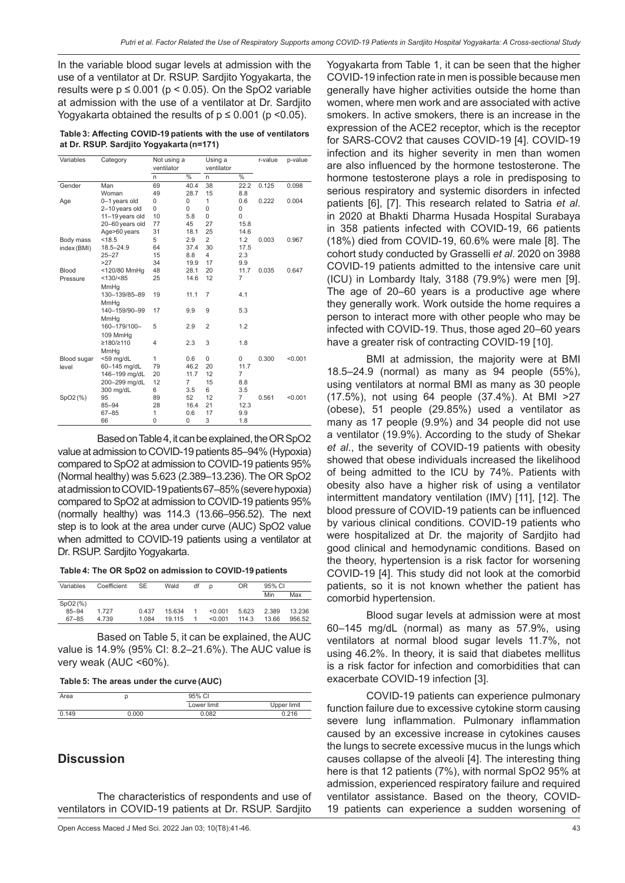In the variable blood sugar levels at admission with the use of a ventilator at Dr. RSUP. Sardjito Yogyakarta, the results were  $p \le 0.001$  ( $p < 0.05$ ). On the SpO2 variable at admission with the use of a ventilator at Dr. Sardjito Yogyakarta obtained the results of  $p \le 0.001$  ( $p \le 0.05$ ).

| Table 3: Affecting COVID-19 patients with the use of ventilators |  |
|------------------------------------------------------------------|--|
| at Dr. RSUP. Sardjito Yogyakarta (n=171)                         |  |

| Variables   | Not using a<br>Category<br>ventilator |              |                | Using a<br>ventilator |                | r-value | p-value |
|-------------|---------------------------------------|--------------|----------------|-----------------------|----------------|---------|---------|
|             |                                       | n            | $\frac{0}{6}$  | n.                    | $\frac{0}{0}$  |         |         |
| Gender      | Man                                   | 69           | 40.4           | 38                    | 22.2           | 0.125   | 0.098   |
|             | Woman                                 | 49           | 28.7           | 15                    | 8.8            |         |         |
| Age         | 0-1 years old                         | 0            | $\Omega$       | 1                     | 0.6            | 0.222   | 0.004   |
|             | 2-10 years old                        | 0            | $\Omega$       | $\Omega$              | 0              |         |         |
|             | 11-19 years old                       | 10           | 5.8            | $\Omega$              | 0              |         |         |
|             | 20-60 years old                       | 77           | 45             | 27                    | 15.8           |         |         |
|             | Age>60 years                          | 31           | 18.1           | 25                    | 14.6           |         |         |
| Body mass   | < 18.5                                | 5            | 2.9            | $\overline{2}$        | 1.2            | 0.003   | 0.967   |
| index (BMI) | $18.5 - 24.9$                         | 64           | 37.4           | 30                    | 17.5           |         |         |
|             | $25 - 27$                             | 15           | 8.8            | 4                     | 2.3            |         |         |
|             | >27                                   | 34           | 19.9           | 17                    | 9.9            |         |         |
| Blood       | <120/80 MmHg                          | 48           | 28.1           | 20                    | 11.7           | 0.035   | 0.647   |
| Pressure    | <130/ < 85                            | 25           | 14.6           | 12                    | $\overline{7}$ |         |         |
|             | MmHg                                  |              |                |                       |                |         |         |
|             | 130-139/85-89                         | 19           | 11.1           | $\overline{7}$        | 4.1            |         |         |
|             | MmHg                                  |              |                |                       |                |         |         |
|             | 140-159/90-99                         | 17           | 9.9            | 9                     | 5.3            |         |         |
|             | MmHg                                  |              |                |                       |                |         |         |
|             | 160-179/100-                          | 5            | 2.9            | $\overline{2}$        | 1.2            |         |         |
|             | 109 MmHg                              |              |                |                       |                |         |         |
|             | ≥180/≥110                             | 4            | 2.3            | 3                     | 1.8            |         |         |
|             | MmHg                                  |              |                |                       |                |         |         |
| Blood sugar | <59 mg/dL                             | $\mathbf{1}$ | 0.6            | 0                     | 0              | 0.300   | < 0.001 |
| level       | 60-145 mg/dL                          | 79           | 46.2           | 20                    | 11.7           |         |         |
|             | 146-199 mg/dL                         | 20           | 11.7           | 12                    | $\overline{7}$ |         |         |
|             | 200-299 mg/dL                         | 12           | $\overline{7}$ | 15                    | 8.8            |         |         |
|             | 300 mg/dL                             | 6            | 3.5            | 6                     | 3.5            |         |         |
| SpO2(%)     | 95                                    | 89           | 52             | 12                    | 7              | 0.561   | < 0.001 |
|             | $85 - 94$                             | 28           | 16.4           | 21                    | 12.3           |         |         |
|             | $67 - 85$                             | 1            | 0.6            | 17                    | 9.9            |         |         |
|             | 66                                    | $\mathbf 0$  | 0              | 3                     | 1.8            |         |         |

Based on Table4, it can be explained, the OR SpO2 value at admission to COVID-19 patients 85–94% (Hypoxia) compared to SpO2 at admission to COVID-19 patients 95% (Normal healthy) was 5.623 (2.389–13.236). The OR SpO2 at admission to COVID-19patients 67–85% (severe hypoxia) compared to SpO2 at admission to COVID-19 patients 95% (normally healthy) was 114.3 (13.66–956.52). The next step is to look at the area under curve (AUC) SpO2 value when admitted to COVID-19 patients using a ventilator at Dr. RSUP. Sardjito Yogyakarta.

**Table 4: The OR SpO2 on admission to COVID-19 patients**

| Variables | Coefficient | SE    | Wald   | df | D       | <b>OR</b> |       | 95% CI |  |
|-----------|-------------|-------|--------|----|---------|-----------|-------|--------|--|
|           |             |       |        |    |         |           | Min   | Max    |  |
| SpO2(%)   |             |       |        |    |         |           |       |        |  |
| $85 - 94$ | 1727        | 0.437 | 15.634 |    | < 0.001 | 5.623     | 2.389 | 13.236 |  |
| $67 - 85$ | 4.739       | 1.084 | 19 115 |    | < 0.001 | 114.3     | 13.66 | 956.52 |  |

Based on Table 5, it can be explained, the AUC value is 14.9% (95% CI: 8.2–21.6%). The AUC value is very weak (AUC <60%).

#### **Table 5: The areas under the curve (AUC)**

| Area  |     | 95% CI      |             |
|-------|-----|-------------|-------------|
|       |     | Lower limit | Upper limit |
| 0.149 | noc | <b>082</b>  | 216         |

## **Discussion**

The characteristics of respondents and use of ventilators in COVID-19 patients at Dr. RSUP. Sardjito

Open Access Maced J Med Sci. 2022 Jan 03; 10(T8):41-46. 43

Yogyakarta from Table 1, it can be seen that the higher COVID-19 infection rate in men is possible because men generally have higher activities outside the home than women, where men work and are associated with active smokers. In active smokers, there is an increase in the expression of the ACE2 receptor, which is the receptor for SARS-COV2 that causes COVID-19 [4]. COVID-19 infection and its higher severity in men than women are also influenced by the hormone testosterone. The hormone testosterone plays a role in predisposing to serious respiratory and systemic disorders in infected patients [6], [7]. This research related to Satria *et al*. in 2020 at Bhakti Dharma Husada Hospital Surabaya in 358 patients infected with COVID-19, 66 patients (18%) died from COVID-19, 60.6% were male [8]. The cohort study conducted by Grasselli *et al*. 2020 on 3988 COVID-19 patients admitted to the intensive care unit (ICU) in Lombardy Italy, 3188 (79.9%) were men [9]. The age of 20–60 years is a productive age where they generally work. Work outside the home requires a person to interact more with other people who may be infected with COVID-19. Thus, those aged 20–60 years have a greater risk of contracting COVID-19 [10].

BMI at admission, the majority were at BMI 18.5–24.9 (normal) as many as 94 people (55%), using ventilators at normal BMI as many as 30 people (17.5%), not using 64 people (37.4%). At BMI >27 (obese), 51 people (29.85%) used a ventilator as many as 17 people (9.9%) and 34 people did not use a ventilator (19.9%). According to the study of Shekar *et al*., the severity of COVID-19 patients with obesity showed that obese individuals increased the likelihood of being admitted to the ICU by 74%. Patients with obesity also have a higher risk of using a ventilator intermittent mandatory ventilation (IMV) [11], [12]. The blood pressure of COVID-19 patients can be influenced by various clinical conditions. COVID-19 patients who were hospitalized at Dr. the majority of Sardjito had good clinical and hemodynamic conditions. Based on the theory, hypertension is a risk factor for worsening COVID-19 [4]. This study did not look at the comorbid patients, so it is not known whether the patient has comorbid hypertension.

Blood sugar levels at admission were at most 60–145 mg/dL (normal) as many as 57.9%, using ventilators at normal blood sugar levels 11.7%, not using 46.2%. In theory, it is said that diabetes mellitus is a risk factor for infection and comorbidities that can exacerbate COVID-19 infection [3].

COVID-19 patients can experience pulmonary function failure due to excessive cytokine storm causing severe lung inflammation. Pulmonary inflammation caused by an excessive increase in cytokines causes the lungs to secrete excessive mucus in the lungs which causes collapse of the alveoli [4]. The interesting thing here is that 12 patients (7%), with normal SpO2 95% at admission, experienced respiratory failure and required ventilator assistance. Based on the theory, COVID-19 patients can experience a sudden worsening of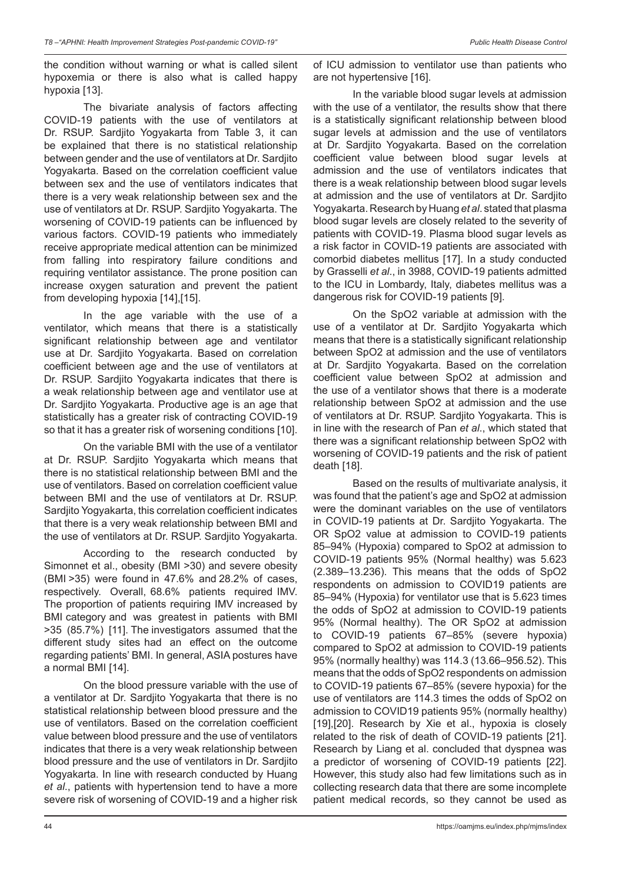the condition without warning or what is called silent hypoxemia or there is also what is called happy hypoxia [13].

The bivariate analysis of factors affecting COVID-19 patients with the use of ventilators at Dr. RSUP. Sardjito Yogyakarta from Table 3, it can be explained that there is no statistical relationship between gender and the use of ventilators at Dr. Sardjito Yogyakarta. Based on the correlation coefficient value between sex and the use of ventilators indicates that there is a very weak relationship between sex and the use of ventilators at Dr. RSUP. Sardjito Yogyakarta. The worsening of COVID-19 patients can be influenced by various factors. COVID-19 patients who immediately receive appropriate medical attention can be minimized from falling into respiratory failure conditions and requiring ventilator assistance. The prone position can increase oxygen saturation and prevent the patient from developing hypoxia [14],[15].

In the age variable with the use of a ventilator, which means that there is a statistically significant relationship between age and ventilator use at Dr. Sardjito Yogyakarta. Based on correlation coefficient between age and the use of ventilators at Dr. RSUP. Sardjito Yogyakarta indicates that there is a weak relationship between age and ventilator use at Dr. Sardjito Yogyakarta. Productive age is an age that statistically has a greater risk of contracting COVID-19 so that it has a greater risk of worsening conditions [10].

On the variable BMI with the use of a ventilator at Dr. RSUP. Sardjito Yogyakarta which means that there is no statistical relationship between BMI and the use of ventilators. Based on correlation coefficient value between BMI and the use of ventilators at Dr. RSUP. Sardjito Yogyakarta, this correlation coefficient indicates that there is a very weak relationship between BMI and the use of ventilators at Dr. RSUP. Sardjito Yogyakarta.

According to the research conducted by Simonnet et al., obesity (BMI >30) and severe obesity (BMI >35) were found in 47.6% and 28.2% of cases, respectively. Overall, 68.6% patients required IMV. The proportion of patients requiring IMV increased by BMI category and was greatest in patients with BMI >35 (85.7%) [11]. The investigators assumed that the different study sites had an effect on the outcome regarding patients' BMI. In general, ASIA postures have a normal BMI [14].

On the blood pressure variable with the use of a ventilator at Dr. Sardjito Yogyakarta that there is no statistical relationship between blood pressure and the use of ventilators. Based on the correlation coefficient value between blood pressure and the use of ventilators indicates that there is a very weak relationship between blood pressure and the use of ventilators in Dr. Sardjito Yogyakarta. In line with research conducted by Huang *et al*., patients with hypertension tend to have a more severe risk of worsening of COVID-19 and a higher risk

of ICU admission to ventilator use than patients who are not hypertensive [16].

In the variable blood sugar levels at admission with the use of a ventilator, the results show that there is a statistically significant relationship between blood sugar levels at admission and the use of ventilators at Dr. Sardjito Yogyakarta. Based on the correlation coefficient value between blood sugar levels at admission and the use of ventilators indicates that there is a weak relationship between blood sugar levels at admission and the use of ventilators at Dr. Sardjito Yogyakarta. Research by Huang *et al*. stated that plasma blood sugar levels are closely related to the severity of patients with COVID-19. Plasma blood sugar levels as a risk factor in COVID-19 patients are associated with comorbid diabetes mellitus [17]. In a study conducted by Grasselli *et al*., in 3988, COVID-19 patients admitted to the ICU in Lombardy, Italy, diabetes mellitus was a dangerous risk for COVID-19 patients [9].

On the SpO2 variable at admission with the use of a ventilator at Dr. Sardjito Yogyakarta which means that there is a statistically significant relationship between SpO2 at admission and the use of ventilators at Dr. Sardjito Yogyakarta. Based on the correlation coefficient value between SpO2 at admission and the use of a ventilator shows that there is a moderate relationship between SpO2 at admission and the use of ventilators at Dr. RSUP. Sardjito Yogyakarta. This is in line with the research of Pan *et al*., which stated that there was a significant relationship between SpO2 with worsening of COVID-19 patients and the risk of patient death [18].

Based on the results of multivariate analysis, it was found that the patient's age and SpO2 at admission were the dominant variables on the use of ventilators in COVID-19 patients at Dr. Sardjito Yogyakarta. The OR SpO2 value at admission to COVID-19 patients 85–94% (Hypoxia) compared to SpO2 at admission to COVID-19 patients 95% (Normal healthy) was 5.623 (2.389–13.236). This means that the odds of SpO2 respondents on admission to COVID19 patients are 85–94% (Hypoxia) for ventilator use that is 5.623 times the odds of SpO2 at admission to COVID-19 patients 95% (Normal healthy). The OR SpO2 at admission to COVID-19 patients 67–85% (severe hypoxia) compared to SpO2 at admission to COVID-19 patients 95% (normally healthy) was 114.3 (13.66–956.52). This means that the odds of SpO2 respondents on admission to COVID-19 patients 67–85% (severe hypoxia) for the use of ventilators are 114.3 times the odds of SpO2 on admission to COVID19 patients 95% (normally healthy) [19],[20]. Research by Xie et al., hypoxia is closely related to the risk of death of COVID-19 patients [21]. Research by Liang et al. concluded that dyspnea was a predictor of worsening of COVID-19 patients [22]. However, this study also had few limitations such as in collecting research data that there are some incomplete patient medical records, so they cannot be used as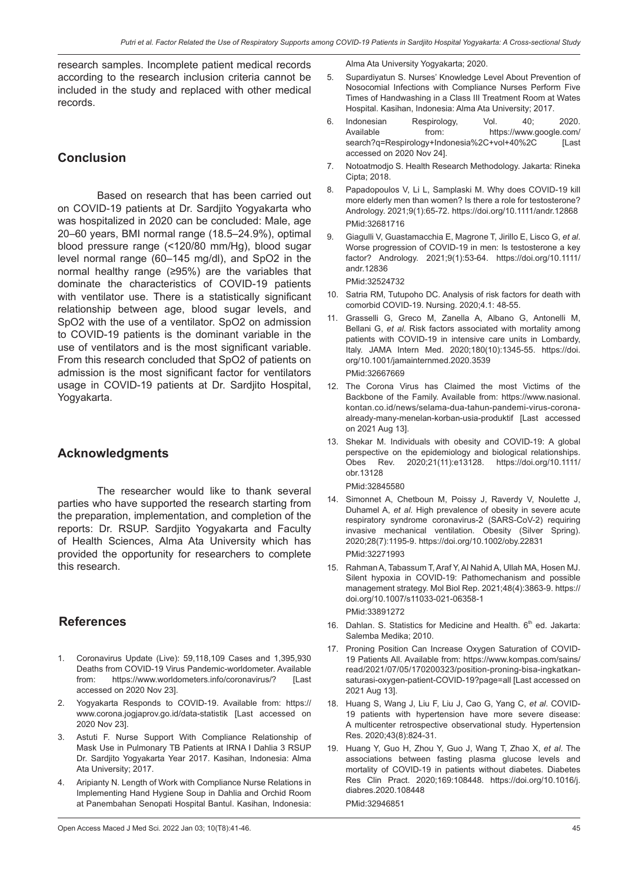research samples. Incomplete patient medical records according to the research inclusion criteria cannot be included in the study and replaced with other medical records.

## **Conclusion**

Based on research that has been carried out on COVID-19 patients at Dr. Sardjito Yogyakarta who was hospitalized in 2020 can be concluded: Male, age 20–60 years, BMI normal range (18.5–24.9%), optimal blood pressure range (<120/80 mm/Hg), blood sugar level normal range (60–145 mg/dl), and SpO2 in the normal healthy range (≥95%) are the variables that dominate the characteristics of COVID-19 patients with ventilator use. There is a statistically significant relationship between age, blood sugar levels, and SpO2 with the use of a ventilator. SpO2 on admission to COVID-19 patients is the dominant variable in the use of ventilators and is the most significant variable. From this research concluded that SpO2 of patients on admission is the most significant factor for ventilators usage in COVID-19 patients at Dr. Sardjito Hospital, Yogyakarta.

## **Acknowledgments**

The researcher would like to thank several parties who have supported the research starting from the preparation, implementation, and completion of the reports: Dr. RSUP. Sardjito Yogyakarta and Faculty of Health Sciences, Alma Ata University which has provided the opportunity for researchers to complete this research.

## **References**

- 1. Coronavirus Update (Live): 59,118,109 Cases and 1,395,930 Deaths from COVID-19 Virus Pandemic-worldometer. Available from: https://www.worldometers.info/coronavirus/? [Last accessed on 2020 Nov 23].
- Yogyakarta Responds to COVID-19. Available from: https:// www.corona.jogjaprov.go.id/data-statistik [Last accessed on 2020 Nov 23].
- 3. Astuti F. Nurse Support With Compliance Relationship of Mask Use in Pulmonary TB Patients at IRNA I Dahlia 3 RSUP Dr. Sardjito Yogyakarta Year 2017. Kasihan, Indonesia: Alma Ata University; 2017.
- 4. Aripianty N. Length of Work with Compliance Nurse Relations in Implementing Hand Hygiene Soup in Dahlia and Orchid Room at Panembahan Senopati Hospital Bantul. Kasihan, Indonesia:

Alma Ata University Yogyakarta; 2020.

- 5. Supardiyatun S. Nurses' Knowledge Level About Prevention of Nosocomial Infections with Compliance Nurses Perform Five Times of Handwashing in a Class III Treatment Room at Wates Hospital. Kasihan, Indonesia: Alma Ata University; 2017.
- 6. Indonesian Respirology, Vol. 40; 2020.<br>Available from: https://www.google.com/ from: https://www.google.com/ search?q=Respirology+Indonesia%2C+vol+40%2C [Last accessed on 2020 Nov 24].
- 7. Notoatmodjo S. Health Research Methodology. Jakarta: Rineka Cipta; 2018.
- 8. Papadopoulos V, Li L, Samplaski M. Why does COVID-19 kill more elderly men than women? Is there a role for testosterone? Andrology. 2021;9(1):65-72. https://doi.org/10.1111/andr.12868 PMid:32681716
- 9. Giagulli V, Guastamacchia E, Magrone T, Jirillo E, Lisco G, *et al*. Worse progression of COVID-19 in men: Is testosterone a key factor? Andrology. 2021;9(1):53-64. https://doi.org/10.1111/ andr.12836

PMid:32524732

- 10. Satria RM, Tutupoho DC. Analysis of risk factors for death with comorbid COVID-19. Nursing. 2020;4.1: 48-55.
- 11. Grasselli G, Greco M, Zanella A, Albano G, Antonelli M, Bellani G, *et al*. Risk factors associated with mortality among patients with COVID-19 in intensive care units in Lombardy, Italy. JAMA Intern Med. 2020;180(10):1345-55. https://doi. org/10.1001/jamainternmed.2020.3539 PMid:32667669
- 12. The Corona Virus has Claimed the most Victims of the Backbone of the Family. Available from: https://www.nasional. kontan.co.id/news/selama-dua-tahun-pandemi-virus-coronaalready-many-menelan-korban-usia-produktif [Last accessed on 2021 Aug 13].
- 13. Shekar M. Individuals with obesity and COVID-19: A global perspective on the epidemiology and biological relationships. Obes Rev. 2020;21(11):e13128. https://doi.org/10.1111/ obr.13128

PMid:32845580

- 14. Simonnet A, Chetboun M, Poissy J, Raverdy V, Noulette J, Duhamel A, *et al*. High prevalence of obesity in severe acute respiratory syndrome coronavirus-2 (SARS-CoV-2) requiring invasive mechanical ventilation. Obesity (Silver Spring). 2020;28(7):1195-9. https://doi.org/10.1002/oby.22831 PMid:32271993
- 15. Rahman A, Tabassum T, Araf Y, Al Nahid A, Ullah MA, Hosen MJ. Silent hypoxia in COVID-19: Pathomechanism and possible management strategy. Mol Biol Rep. 2021;48(4):3863-9. https:// doi.org/10.1007/s11033-021-06358-1 PMid:33891272
- 16. Dahlan. S. Statistics for Medicine and Health.  $6<sup>th</sup>$  ed. Jakarta: Salemba Medika; 2010.
- 17. Proning Position Can Increase Oxygen Saturation of COVID-19 Patients All. Available from: https://www.kompas.com/sains/ read/2021/07/05/170200323/position-proning-bisa-ingkatkansaturasi-oxygen-patient-COVID-19?page=all [Last accessed on 2021 Aug 13].
- 18. Huang S, Wang J, Liu F, Liu J, Cao G, Yang C, *et al*. COVID-19 patients with hypertension have more severe disease: A multicenter retrospective observational study. Hypertension Res. 2020;43(8):824-31.
- 19. Huang Y, Guo H, Zhou Y, Guo J, Wang T, Zhao X, *et al*. The associations between fasting plasma glucose levels and mortality of COVID-19 in patients without diabetes. Diabetes Res Clin Pract. 2020;169:108448. https://doi.org/10.1016/j. diabres.2020.108448

PMid:32946851